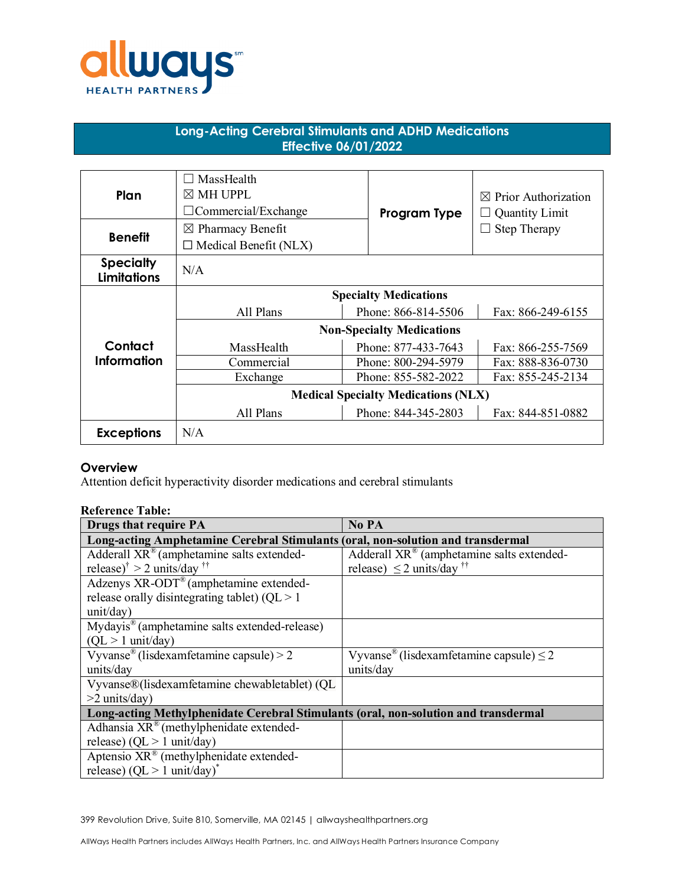

# **Long-Acting Cerebral Stimulants and ADHD Medications Effective 06/01/2022**

| Plan                                   | MassHealth<br>$\boxtimes$ MH UPPL<br>$\Box$ Commercial/Exchange | Program Type        | <b>Prior Authorization</b><br>⊠<br><b>Quantity Limit</b> |
|----------------------------------------|-----------------------------------------------------------------|---------------------|----------------------------------------------------------|
| <b>Benefit</b>                         | $\boxtimes$ Pharmacy Benefit<br>$\Box$ Medical Benefit (NLX)    |                     | <b>Step Therapy</b>                                      |
| <b>Specialty</b><br><b>Limitations</b> | N/A                                                             |                     |                                                          |
|                                        | <b>Specialty Medications</b>                                    |                     |                                                          |
|                                        | All Plans                                                       | Phone: 866-814-5506 | Fax: 866-249-6155                                        |
|                                        | <b>Non-Specialty Medications</b>                                |                     |                                                          |
| Contact                                | MassHealth                                                      | Phone: 877-433-7643 | Fax: 866-255-7569                                        |
| Information                            | Commercial                                                      | Phone: 800-294-5979 | Fax: 888-836-0730                                        |
|                                        | Exchange                                                        | Phone: 855-582-2022 | Fax: 855-245-2134                                        |
|                                        | <b>Medical Specialty Medications (NLX)</b>                      |                     |                                                          |
|                                        | All Plans                                                       | Phone: 844-345-2803 | Fax: 844-851-0882                                        |
| <b>Exceptions</b>                      | N/A                                                             |                     |                                                          |

# **Overview**

Attention deficit hyperactivity disorder medications and cerebral stimulants

# **Reference Table:**

| <b>Drugs that require PA</b>                                                        | No PA                                                    |  |  |
|-------------------------------------------------------------------------------------|----------------------------------------------------------|--|--|
| Long-acting Amphetamine Cerebral Stimulants (oral, non-solution and transdermal     |                                                          |  |  |
| Adderall XR® (amphetamine salts extended-                                           | Adderall XR® (amphetamine salts extended-                |  |  |
| release) $\dagger$ > 2 units/day $\dagger$                                          | release) $\leq$ 2 units/day <sup>††</sup>                |  |  |
| Adzenys XR-ODT® (amphetamine extended-                                              |                                                          |  |  |
| release or<br>ally disintegrating tablet) ( $QL > 1$                                |                                                          |  |  |
| unit/day)                                                                           |                                                          |  |  |
| Mydayis® (amphetamine salts extended-release)                                       |                                                          |  |  |
| $(QL > 1$ unit/day)                                                                 |                                                          |  |  |
| Vyvanse <sup>®</sup> (lisdexamfetamine capsule) > 2                                 | Vyvanse <sup>®</sup> (lisdexamfetamine capsule) $\leq$ 2 |  |  |
| units/day                                                                           | units/day                                                |  |  |
| Vyvanse®(lisdexamfetamine chewabletablet) (QL                                       |                                                          |  |  |
| $>2$ units/day)                                                                     |                                                          |  |  |
| Long-acting Methylphenidate Cerebral Stimulants (oral, non-solution and transdermal |                                                          |  |  |
| Adhansia XR® (methylphenidate extended-                                             |                                                          |  |  |
| release) (QL $> 1$ unit/day)                                                        |                                                          |  |  |
| Aptensio $XR^{\circledast}$ (methylphenidate extended-                              |                                                          |  |  |
| release) (QL > 1 unit/day) <sup>*</sup>                                             |                                                          |  |  |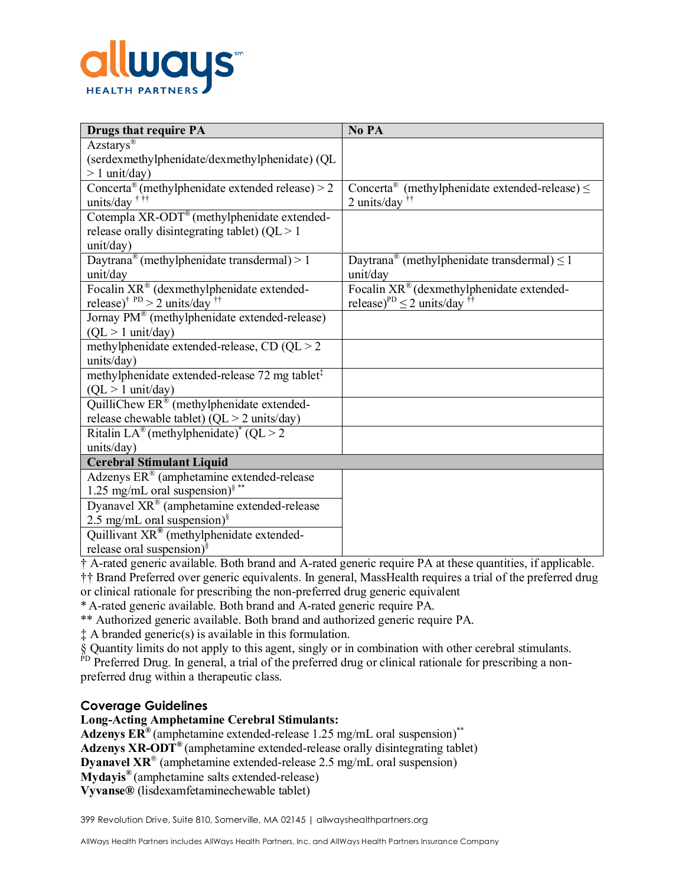

| <b>Drugs that require PA</b>                                                             | No PA                                                                            |  |
|------------------------------------------------------------------------------------------|----------------------------------------------------------------------------------|--|
| Azstarys®                                                                                |                                                                                  |  |
| (serdexmethylphenidate/dexmethylphenidate) (QL                                           |                                                                                  |  |
| $> 1$ unit/day)                                                                          |                                                                                  |  |
| Concerta <sup>®</sup> (methylphenidate extended release) > 2<br>units/day <sup>†††</sup> | Concerta® (methylphenidate extended-release) $\leq$<br>2 units/day $\frac{1}{1}$ |  |
| Cotempla XR-ODT® (methylphenidate extended-                                              |                                                                                  |  |
| release or<br>ally disintegrating tablet) ( $QL > 1$                                     |                                                                                  |  |
| unit/day)                                                                                |                                                                                  |  |
| Daytrana® (methylphenidate transdermal) > 1                                              | Daytrana® (methylphenidate transdermal) $\leq$ 1                                 |  |
| unit/day                                                                                 | unit/day                                                                         |  |
| Focalin XR® (dexmethylphenidate extended-                                                | Focalin XR® (dexmethylphenidate extended-                                        |  |
| release) <sup>† PD</sup> > 2 units/day <sup>††</sup>                                     | release) <sup>PD</sup> $\leq$ 2 units/day <sup>††</sup>                          |  |
| Jornay PM® (methylphenidate extended-release)                                            |                                                                                  |  |
| $(QL > 1$ unit/day)                                                                      |                                                                                  |  |
| methylphenidate extended-release, CD ( $QL > 2$                                          |                                                                                  |  |
| units/day)                                                                               |                                                                                  |  |
| methylphenidate extended-release 72 mg tablet <sup>‡</sup>                               |                                                                                  |  |
| $(QL > 1$ unit/day)                                                                      |                                                                                  |  |
| QuilliChew ER® (methylphenidate extended-                                                |                                                                                  |  |
| release chewable tablet) ( $QL > 2$ units/day)                                           |                                                                                  |  |
| Ritalin LA® (methylphenidate) <sup>*</sup> (QL > 2                                       |                                                                                  |  |
| units/day)                                                                               |                                                                                  |  |
| <b>Cerebral Stimulant Liquid</b>                                                         |                                                                                  |  |
| Adzenys ER® (amphetamine extended-release                                                |                                                                                  |  |
| 1.25 mg/mL oral suspension) <sup>§**</sup>                                               |                                                                                  |  |
| Dyanavel $XR^{\circledast}$ (amphetamine extended-release                                |                                                                                  |  |
| 2.5 mg/mL oral suspension) $\frac{8}{3}$                                                 |                                                                                  |  |
| Quillivant XR® (methylphenidate extended-                                                |                                                                                  |  |
| release oral suspension) $\frac{8}{3}$                                                   |                                                                                  |  |

† A-rated generic available. Both brand and A-rated generic require PA at these quantities, if applicable.

†† Brand Preferred over generic equivalents. In general, MassHealth requires a trial of the preferred drug or clinical rationale for prescribing the non-preferred drug generic equivalent

\*A-rated generic available. Both brand and A-rated generic require PA.

\*\* Authorized generic available. Both brand and authorized generic require PA.

‡ A branded generic(s) is available in this formulation.

§ Quantity limits do not apply to this agent, singly or in combination with other cerebral stimulants.

PD Preferred Drug. In general, a trial of the preferred drug or clinical rationale for prescribing a nonpreferred drug within a therapeutic class.

# **Coverage Guidelines**

**Long-Acting Amphetamine Cerebral Stimulants:**

**Adzenys ER®** (amphetamine extended-release 1.25 mg/mL oral suspension)\*\*

**Adzenys XR-ODT®** (amphetamine extended-release orally disintegrating tablet)

**Dyanavel XR**® (amphetamine extended-release 2.5 mg/mL oral suspension)

**Mydayis®** (amphetamine salts extended-release)

**Vyvanse®** (lisdexamfetaminechewable tablet)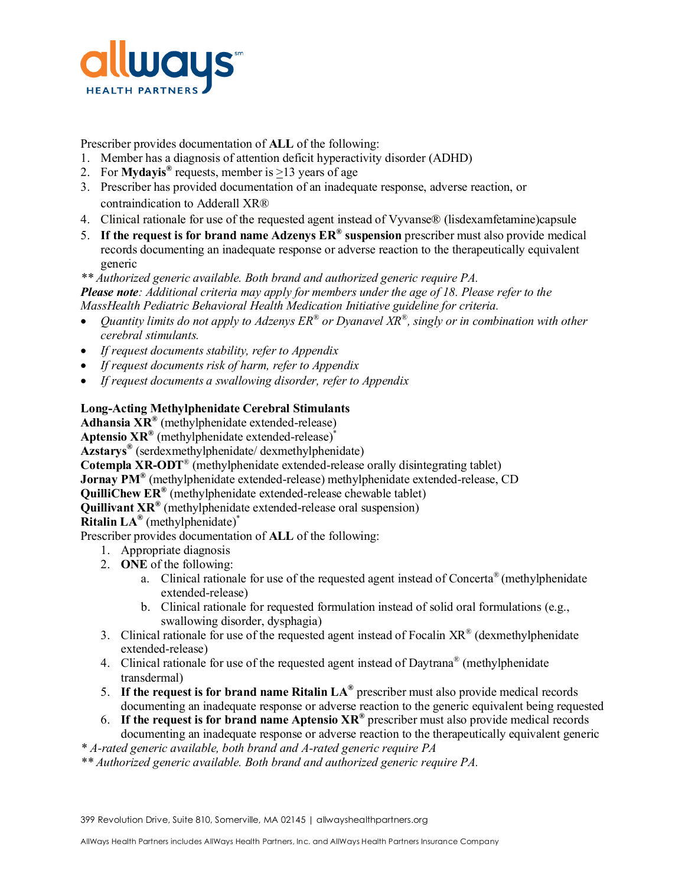

Prescriber provides documentation of **ALL** of the following:

- 1. Member has a diagnosis of attention deficit hyperactivity disorder (ADHD)
- 2. For **Mydayis**<sup>®</sup> requests, member is  $\geq$ 13 years of age
- 3. Prescriber has provided documentation of an inadequate response, adverse reaction, or contraindication to Adderall XR®
- 4. Clinical rationale for use of the requested agent instead of Vyvanse® (lisdexamfetamine)capsule
- 5. **If the request is for brand name Adzenys ER® suspension** prescriber must also provide medical records documenting an inadequate response or adverse reaction to the therapeutically equivalent generic

*\*\* Authorized generic available. Both brand and authorized generic require PA. Please note: Additional criteria may apply for members under the age of 18. Please refer to the MassHealth Pediatric Behavioral Health Medication Initiative guideline for criteria.*

- *Quantity limits do not apply to Adzenys ER® or Dyanavel XR®, singly or in combination with other cerebral stimulants.*
- *If request documents stability, refer to Appendix*
- *If request documents risk of harm, refer to Appendix*
- *If request documents a swallowing disorder, refer to Appendix*

# **Long-Acting Methylphenidate Cerebral Stimulants**

**Adhansia XR®** (methylphenidate extended-release)

**Aptensio XR®** (methylphenidate extended-release)\*

**Azstarys®** (serdexmethylphenidate/ dexmethylphenidate)

**Cotempla XR-ODT**® (methylphenidate extended-release orally disintegrating tablet)

**Jornay PM®** (methylphenidate extended-release) methylphenidate extended-release, CD

**QuilliChew ER®** (methylphenidate extended-release chewable tablet)

**Quillivant XR®** (methylphenidate extended-release oral suspension)

**Ritalin LA®** (methylphenidate)\*

Prescriber provides documentation of **ALL** of the following:

- 1. Appropriate diagnosis
- 2. **ONE** of the following:
	- a. Clinical rationale for use of the requested agent instead of Concerta® (methylphenidate extended-release)
	- b. Clinical rationale for requested formulation instead of solid oral formulations (e.g., swallowing disorder, dysphagia)
- 3. Clinical rationale for use of the requested agent instead of Focalin  $XR^{\mathcal{R}}$  (dexmethylphenidate extended-release)
- 4. Clinical rationale for use of the requested agent instead of Daytrana<sup>®</sup> (methylphenidate transdermal)
- 5. **If the request is for brand name Ritalin LA®** prescriber must also provide medical records documenting an inadequate response or adverse reaction to the generic equivalent being requested
- 6. **If the request is for brand name Aptensio XR®** prescriber must also provide medical records documenting an inadequate response or adverse reaction to the therapeutically equivalent generic
- *\* A-rated generic available, both brand and A-rated generic require PA*
- *\*\* Authorized generic available. Both brand and authorized generic require PA.*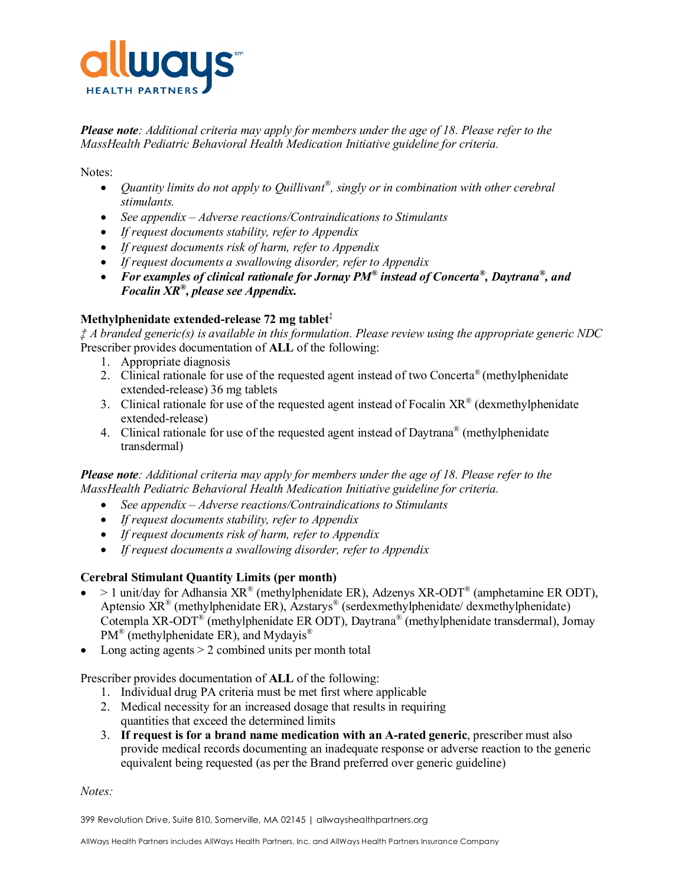

*Please note: Additional criteria may apply for members under the age of 18. Please refer to the MassHealth Pediatric Behavioral Health Medication Initiative guideline for criteria.*

Notes:

- Quantity limits do not apply to Quillivant<sup>®</sup>, singly or in combination with other cerebral *stimulants.*
- *See appendix – Adverse reactions/Contraindications to Stimulants*
- *If request documents stability, refer to Appendix*
- *If request documents risk of harm, refer to Appendix*
- *If request documents a swallowing disorder, refer to Appendix*
- *For examples of clinical rationale for Jornay PM® instead of Concerta® , Daytrana® , and Focalin XR®, please see Appendix.*

# **Methylphenidate extended-release 72 mg tablet**‡

*‡ A branded generic(s) is available in this formulation. Please review using the appropriate generic NDC* Prescriber provides documentation of **ALL** of the following:

- 1. Appropriate diagnosis
- 2. Clinical rationale for use of the requested agent instead of two Concerta<sup>®</sup> (methylphenidate extended-release) 36 mg tablets
- 3. Clinical rationale for use of the requested agent instead of Focalin  $XR^{\circ}$  (dexmethylphenidate extended-release)
- 4. Clinical rationale for use of the requested agent instead of Daytrana<sup>®</sup> (methylphenidate transdermal)

*Please note: Additional criteria may apply for members under the age of 18. Please refer to the MassHealth Pediatric Behavioral Health Medication Initiative guideline for criteria.*

- *See appendix – Adverse reactions/Contraindications to Stimulants*
- *If request documents stability, refer to Appendix*
- *If request documents risk of harm, refer to Appendix*
- *If request documents a swallowing disorder, refer to Appendix*

# **Cerebral Stimulant Quantity Limits (per month)**

- > 1 unit/day for Adhansia  $XR^{\circ}$  (methylphenidate ER), Adzenys  $XR$ -ODT<sup>®</sup> (amphetamine ER ODT), Aptensio  $\overline{XR}^{\otimes}$  (methylphenidate ER), Azstarys<sup>®</sup> (serdexmethylphenidate/dexmethylphenidate) Cotempla XR-ODT® (methylphenidate ER ODT), Daytrana® (methylphenidate transdermal), Jornay PM<sup>®</sup> (methylphenidate ER), and Mydayis<sup>®</sup>
- Long acting agents > 2 combined units per month total

Prescriber provides documentation of **ALL** of the following:

- 1. Individual drug PA criteria must be met first where applicable
- 2. Medical necessity for an increased dosage that results in requiring quantities that exceed the determined limits
- 3. **If request is for a brand name medication with an A-rated generic**, prescriber must also provide medical records documenting an inadequate response or adverse reaction to the generic equivalent being requested (as per the Brand preferred over generic guideline)

*Notes:*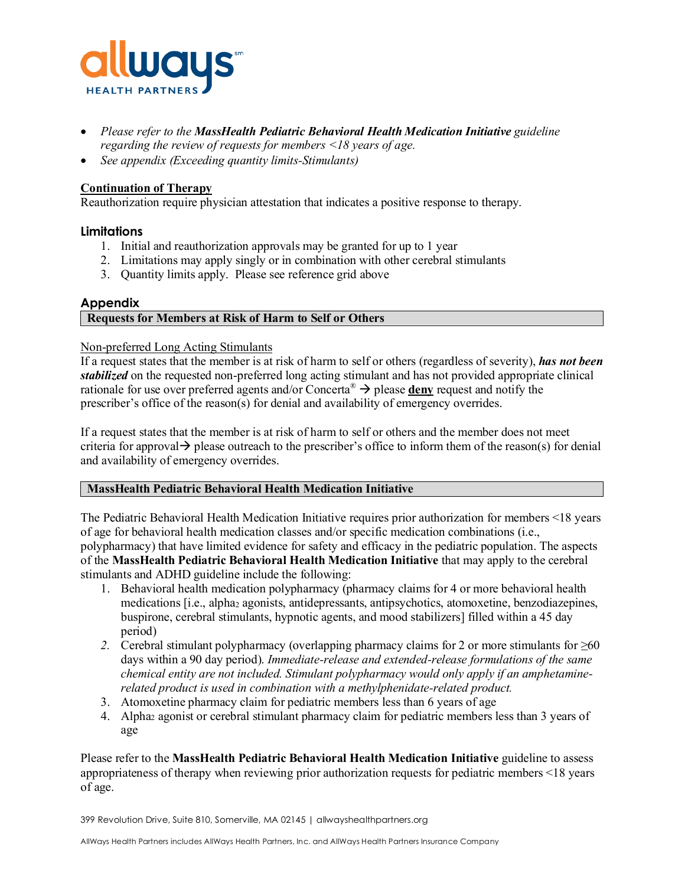

- *Please refer to the MassHealth Pediatric Behavioral Health Medication Initiative guideline regarding the review of requests for members <18 years of age.*
- *See appendix (Exceeding quantity limits-Stimulants)*

# **Continuation of Therapy**

Reauthorization require physician attestation that indicates a positive response to therapy.

# **Limitations**

- 1. Initial and reauthorization approvals may be granted for up to 1 year
- 2. Limitations may apply singly or in combination with other cerebral stimulants
- 3. Quantity limits apply. Please see reference grid above

# **Appendix**

# **Requests for Members at Risk of Harm to Self or Others**

# Non-preferred Long Acting Stimulants

If a request states that the member is at risk of harm to self or others (regardless of severity), *has not been stabilized* on the requested non-preferred long acting stimulant and has not provided appropriate clinical rationale for use over preferred agents and/or Concerta<sup>®</sup>  $\rightarrow$  please **deny** request and notify the prescriber's office of the reason(s) for denial and availability of emergency overrides.

If a request states that the member is at risk of harm to self or others and the member does not meet criteria for approval  $\rightarrow$  please outreach to the prescriber's office to inform them of the reason(s) for denial and availability of emergency overrides.

# **MassHealth Pediatric Behavioral Health Medication Initiative**

The Pediatric Behavioral Health Medication Initiative requires prior authorization for members <18 years of age for behavioral health medication classes and/or specific medication combinations (i.e., polypharmacy) that have limited evidence for safety and efficacy in the pediatric population. The aspects of the **MassHealth Pediatric Behavioral Health Medication Initiative** that may apply to the cerebral stimulants and ADHD guideline include the following:

- 1. Behavioral health medication polypharmacy (pharmacy claims for 4 or more behavioral health medications [i.e., alpha2 agonists, antidepressants, antipsychotics, atomoxetine, benzodiazepines, buspirone, cerebral stimulants, hypnotic agents, and mood stabilizers] filled within a 45 day period)
- 2. Cerebral stimulant polypharmacy (overlapping pharmacy claims for 2 or more stimulants for ≥60 days within a 90 day period). *Immediate-release and extended-release formulations of the same chemical entity are not included. Stimulant polypharmacy would only apply if an amphetaminerelated product is used in combination with a methylphenidate-related product.*
- 3. Atomoxetine pharmacy claim for pediatric members less than 6 years of age
- 4. Alpha2 agonist or cerebral stimulant pharmacy claim for pediatric members less than 3 years of age

Please refer to the **MassHealth Pediatric Behavioral Health Medication Initiative** guideline to assess appropriateness of therapy when reviewing prior authorization requests for pediatric members <18 years of age.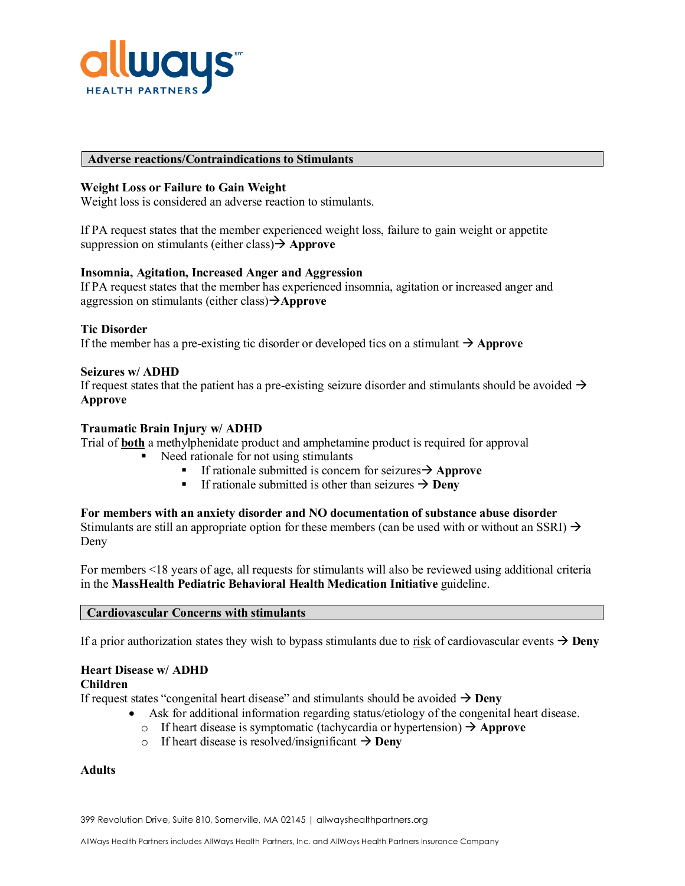

#### **Adverse reactions/Contraindications to Stimulants**

### **Weight Loss or Failure to Gain Weight**

Weight loss is considered an adverse reaction to stimulants.

If PA request states that the member experienced weight loss, failure to gain weight or appetite suppression on stimulants (either class) **Approve** 

#### **Insomnia, Agitation, Increased Anger and Aggression**

If PA request states that the member has experienced insomnia, agitation or increased anger and aggression on stimulants (either class)**Approve**

#### **Tic Disorder**

If the member has a pre-existing tic disorder or developed tics on a stimulant  $\rightarrow$  Approve

#### **Seizures w/ ADHD**

If request states that the patient has a pre-existing seizure disorder and stimulants should be avoided  $\rightarrow$ **Approve**

#### **Traumatic Brain Injury w/ ADHD**

Trial of **both** a methylphenidate product and amphetamine product is required for approval

- $\blacksquare$  Need rationale for not using stimulants
	- If rationale submitted is concern for seizures  $\rightarrow$  Approve
	- If rationale submitted is other than seizures  $\rightarrow$  **Deny**

#### **For members with an anxiety disorder and NO documentation of substance abuse disorder**

Stimulants are still an appropriate option for these members (can be used with or without an SSRI)  $\rightarrow$ Deny

For members <18 years of age, all requests for stimulants will also be reviewed using additional criteria in the **MassHealth Pediatric Behavioral Health Medication Initiative** guideline.

#### **Cardiovascular Concerns with stimulants**

If a prior authorization states they wish to bypass stimulants due to risk of cardiovascular events  $\rightarrow$  **Deny** 

# **Heart Disease w/ ADHD**

# **Children**

If request states "congenital heart disease" and stimulants should be avoided  $\rightarrow$  **Deny** 

- Ask for additional information regarding status/etiology of the congenital heart disease.
- o If heart disease is symptomatic (tachycardia or hypertension)  $\rightarrow$  Approve
- o If heart disease is resolved/insignificant  $\rightarrow$  **Deny**

#### **Adults**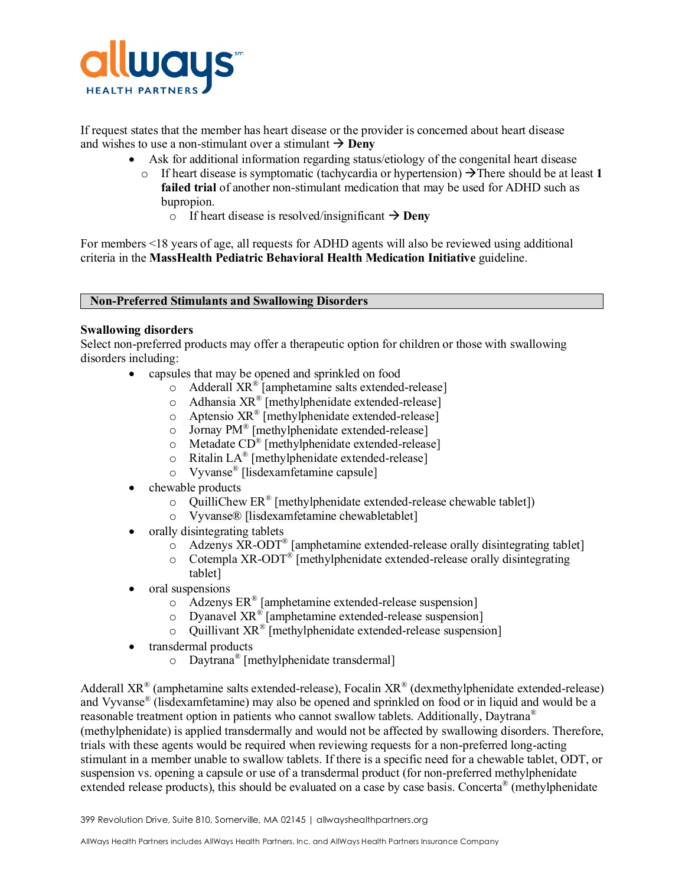

If request states that the member has heart disease or the provider is concerned about heart disease and wishes to use a non-stimulant over a stimulant  $\rightarrow$  **Deny** 

- Ask for additional information regarding status/etiology of the congenital heart disease
	- o If heart disease is symptomatic (tachycardia or hypertension)  $\rightarrow$  There should be at least 1 **failed trial** of another non-stimulant medication that may be used for ADHD such as bupropion.
		- o If heart disease is resolved/insignificant  $\rightarrow$  **Deny**

For members <18 years of age, all requests for ADHD agents will also be reviewed using additional criteria in the **MassHealth Pediatric Behavioral Health Medication Initiative** guideline.

# **Non-Preferred Stimulants and Swallowing Disorders**

# **Swallowing disorders**

Select non-preferred products may offer a therapeutic option for children or those with swallowing disorders including:

- capsules that may be opened and sprinkled on food
	- o Adderall XR® [amphetamine salts extended-release]
	- o Adhansia XR® [methylphenidate extended-release]
	- o Aptensio XR® [methylphenidate extended-release]
	- o Jornay PM® [methylphenidate extended-release]
	- o Metadate CD® [methylphenidate extended-release]
	- o Ritalin LA® [methylphenidate extended-release]
	- o Vyvanse® [lisdexamfetamine capsule]
- chewable products
	- $\circ$  QuilliChew ER<sup>®</sup> [methylphenidate extended-release chewable tablet])
	- o Vyvanse® [lisdexamfetamine chewabletablet]
- orally disintegrating tablets
	- $\overline{\text{O}}$  Adzenys XR-ODT<sup>®</sup> [amphetamine extended-release orally disintegrating tablet]
	- o Cotempla XR-ODT® [methylphenidate extended-release orally disintegrating
	- tablet]
- oral suspensions
	- $\circ$  Adzenys ER<sup>®</sup> [amphetamine extended-release suspension]
	- o Dyanavel XR® [amphetamine extended-release suspension]
	- o Quillivant XR® [methylphenidate extended-release suspension]
- transdermal products
	- o Daytrana® [methylphenidate transdermal]

Adderall  $XR^{\circ}$  (amphetamine salts extended-release), Focalin  $XR^{\circ}$  (dexmethylphenidate extended-release) and Vyvanse® (lisdexamfetamine) may also be opened and sprinkled on food or in liquid and would be a reasonable treatment option in patients who cannot swallow tablets. Additionally, Daytrana® (methylphenidate) is applied transdermally and would not be affected by swallowing disorders. Therefore, trials with these agents would be required when reviewing requests for a non-preferred long-acting stimulant in a member unable to swallow tablets. If there is a specific need for a chewable tablet, ODT, or suspension vs. opening a capsule or use of a transdermal product (for non-preferred methylphenidate extended release products), this should be evaluated on a case by case basis. Concerta® (methylphenidate